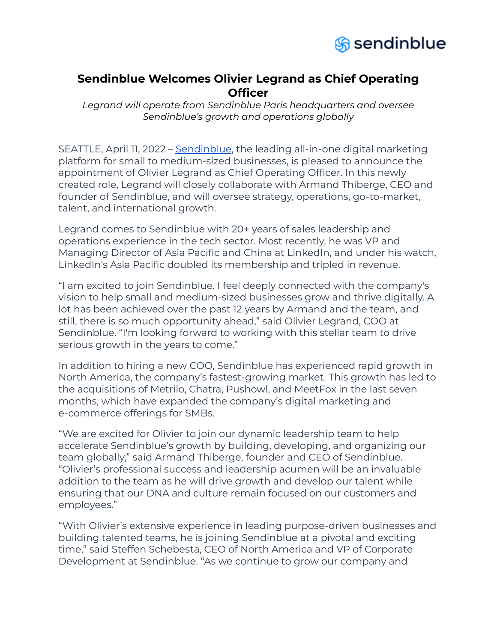

## **Sendinblue Welcomes Olivier Legrand as Chief Operating Officer**

*Legrand will operate from Sendinblue Paris headquarters and oversee Sendinblue's growth and operations globally*

SEATTLE, April 11, 2022 – [Sendinblue](https://www.sendinblue.com/), the leading all-in-one digital marketing platform for small to medium-sized businesses, is pleased to announce the appointment of Olivier Legrand as Chief Operating Officer. In this newly created role, Legrand will closely collaborate with Armand Thiberge, CEO and founder of Sendinblue, and will oversee strategy, operations, go-to-market, talent, and international growth.

Legrand comes to Sendinblue with 20+ years of sales leadership and operations experience in the tech sector. Most recently, he was VP and Managing Director of Asia Pacific and China at LinkedIn, and under his watch, LinkedIn's Asia Pacific doubled its membership and tripled in revenue.

"I am excited to join Sendinblue. I feel deeply connected with the company's vision to help small and medium-sized businesses grow and thrive digitally. A lot has been achieved over the past 12 years by Armand and the team, and still, there is so much opportunity ahead," said Olivier Legrand, COO at Sendinblue. "I'm looking forward to working with this stellar team to drive serious growth in the years to come."

In addition to hiring a new COO, Sendinblue has experienced rapid growth in North America, the company's fastest-growing market. This growth has led to the acquisitions of Metrilo, Chatra, Pushowl, and MeetFox in the last seven months, which have expanded the company's digital marketing and e-commerce offerings for SMBs.

"We are excited for Olivier to join our dynamic leadership team to help accelerate Sendinblue's growth by building, developing, and organizing our team globally," said Armand Thiberge, founder and CEO of Sendinblue. "Olivier's professional success and leadership acumen will be an invaluable addition to the team as he will drive growth and develop our talent while ensuring that our DNA and culture remain focused on our customers and employees."

"With Olivier's extensive experience in leading purpose-driven businesses and building talented teams, he is joining Sendinblue at a pivotal and exciting time," said Steffen Schebesta, CEO of North America and VP of Corporate Development at Sendinblue. "As we continue to grow our company and